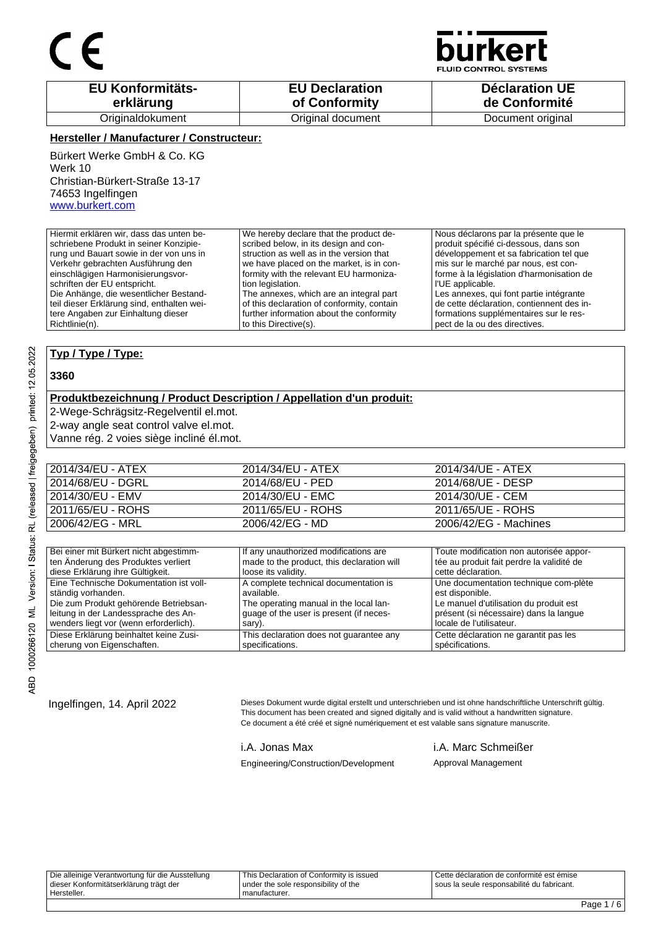

**D CONTROL SYSTEMS** 

| <b>EU Konformitäts-</b> | <b>EU Declaration</b> | <b>Déclaration UE</b> |
|-------------------------|-----------------------|-----------------------|
| erklärung               | of Conformity         | de Conformité         |
| Originaldokument        | Original document     | Document original     |

### **Hersteller / Manufacturer / Constructeur:**

Bürkert Werke GmbH & Co. KG Werk 10 Christian-Bürkert-Straße 13-17 74653 Ingelfingen www.burkert.com

Hiermit erklären wir, dass das unten beschriebene Produkt in seiner Konzipierung und Bauart sowie in der von uns in Verkehr gebrachten Ausführung den einschlägigen Harmonisierungsvorschriften der EU entspricht. Die Anhänge, die wesentlicher Bestandteil dieser Erklärung sind, enthalten weitere Angaben zur Einhaltung dieser Richtlinie(n). We hereby declare that the product described below, in its design and construction as well as in the version that we have placed on the market, is in conformity with the relevant EU harmonization legislation. The annexes, which are an integral part of this declaration of conformity, contain further information about the conformity to this Directive(s). Nous déclarons par la présente que le produit spécifié ci-dessous, dans son développement et sa fabrication tel que mis sur le marché par nous, est conforme à la législation d'harmonisation de l'UE applicable. Les annexes, qui font partie intégrante de cette déclaration, contiennent des informations supplémentaires sur le respect de la ou des directives.

### **Typ / Type / Type:**

#### **3360**

### **Produktbezeichnung / Product Description / Appellation d'un produit:**

2-Wege-Schrägsitz-Regelventil el.mot.

2-way angle seat control valve el.mot.

Vanne rég. 2 voies siège incliné él.mot.

| 2014/34/EU - ATEX | 2014/34/EU - ATEX | 2014/34/UE - ATEX     |
|-------------------|-------------------|-----------------------|
| 2014/68/EU - DGRL | 2014/68/EU - PED  | 2014/68/UE - DESP     |
| 2014/30/EU - EMV  | 2014/30/EU - EMC  | 2014/30/UE - CEM      |
| 2011/65/EU - ROHS | 2011/65/EU - ROHS | 2011/65/UE - ROHS     |
| 2006/42/EG - MRL  | 2006/42/EG - MD   | 2006/42/EG - Machines |

| Bei einer mit Bürkert nicht abgestimm-  | If any unauthorized modifications are      | Toute modification non autorisée appor-   |
|-----------------------------------------|--------------------------------------------|-------------------------------------------|
| ten Änderung des Produktes verliert     | made to the product, this declaration will | tée au produit fait perdre la validité de |
| diese Erklärung ihre Gültigkeit.        | loose its validity.                        | cette déclaration.                        |
| Eine Technische Dokumentation ist voll- | A complete technical documentation is      | Une documentation technique com-plète     |
| ständig vorhanden.                      | available.                                 | est disponible.                           |
| Die zum Produkt gehörende Betriebsan-   | The operating manual in the local lan-     | Le manuel d'utilisation du produit est    |
| leitung in der Landessprache des An-    | guage of the user is present (if neces-    | présent (si nécessaire) dans la langue    |
| wenders liegt vor (wenn erforderlich).  | sary).                                     | locale de l'utilisateur.                  |
| Diese Erklärung beinhaltet keine Zusi-  | This declaration does not quarantee any    | Cette déclaration ne garantit pas les     |
| cherung von Eigenschaften.              | specifications.                            | spécifications.                           |

Ingelfingen, 14. April 2022 Dieses Dokument wurde digital erstellt und unterschrieben und ist ohne handschriftliche Unterschrift gültig. This document has been created and signed digitally and is valid without a handwritten signature. Ce document a été créé et signé numériquement et est valable sans signature manuscrite.

i.A. Jonas Max i.A. Marc Schmeißer Engineering/Construction/Development Approval Management

Die alleinige Verantwortung für die Ausstellung dieser Konformitätserklärung trägt der Hersteller. This Declaration of Conformity is issued under the sole responsibility of the manufacturer. Cette déclaration de conformité est émise sous la seule responsabilité du fabricant.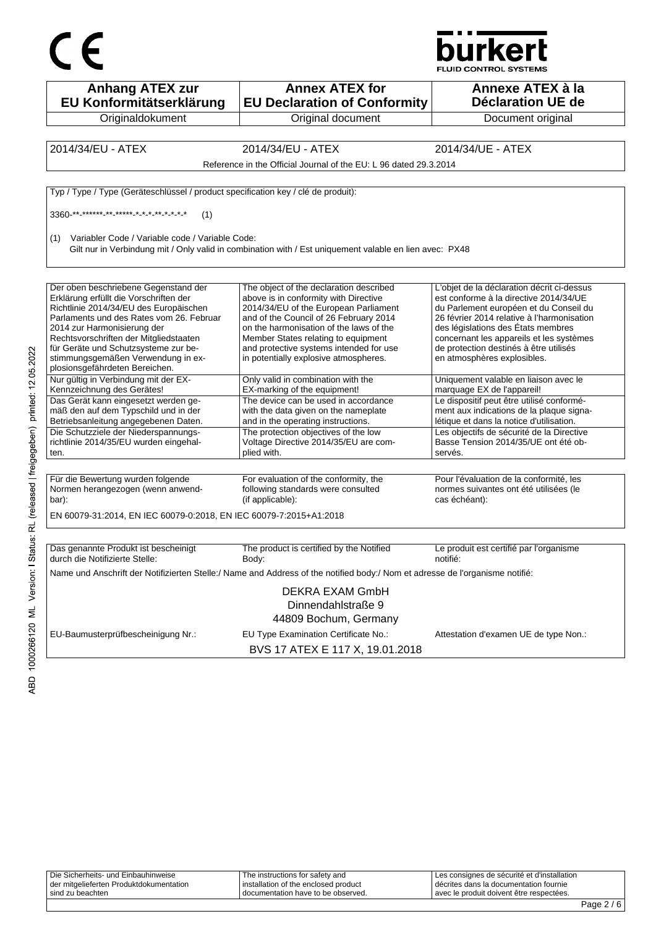



| <b>Anhang ATEX zur</b><br>EU Konformitätserklärung                                | <b>Annex ATEX for</b><br><b>EU Declaration of Conformity</b>                                                                 | Annexe ATEX à la<br><b>Déclaration UE de</b>                                         |
|-----------------------------------------------------------------------------------|------------------------------------------------------------------------------------------------------------------------------|--------------------------------------------------------------------------------------|
| Originaldokument                                                                  | Original document                                                                                                            | Document original                                                                    |
|                                                                                   |                                                                                                                              |                                                                                      |
| 2014/34/EU - ATEX                                                                 | 2014/34/EU - ATEX                                                                                                            | 2014/34/UE - ATEX                                                                    |
|                                                                                   | Reference in the Official Journal of the EU: L 96 dated 29.3.2014                                                            |                                                                                      |
| Typ / Type / Type (Geräteschlüssel / product specification key / clé de produit): |                                                                                                                              |                                                                                      |
|                                                                                   |                                                                                                                              |                                                                                      |
| (1)                                                                               |                                                                                                                              |                                                                                      |
| Variabler Code / Variable code / Variable Code:<br>(1)                            | Gilt nur in Verbindung mit / Only valid in combination with / Est uniquement valable en lien avec: PX48                      |                                                                                      |
|                                                                                   |                                                                                                                              |                                                                                      |
| Der oben beschriebene Gegenstand der<br>Erklärung erfüllt die Vorschriften der    | The object of the declaration described<br>above is in conformity with Directive                                             | L'objet de la déclaration décrit ci-dessus<br>est conforme à la directive 2014/34/UE |
| Richtlinie 2014/34/EU des Europäischen                                            | 2014/34/EU of the European Parliament                                                                                        | du Parlement européen et du Conseil du                                               |
| Parlaments und des Rates vom 26. Februar                                          | and of the Council of 26 February 2014                                                                                       | 26 février 2014 relative à l'harmonisation                                           |
| 2014 zur Harmonisierung der                                                       | on the harmonisation of the laws of the                                                                                      | des législations des États membres                                                   |
| Rechtsvorschriften der Mitgliedstaaten<br>für Geräte und Schutzsysteme zur be-    | Member States relating to equipment<br>and protective systems intended for use                                               | concernant les appareils et les systèmes<br>de protection destinés à être utilisés   |
| stimmungsgemäßen Verwendung in ex-<br>plosionsgefährdeten Bereichen.              | in potentially explosive atmospheres.                                                                                        | en atmosphères explosibles.                                                          |
| Nur gültig in Verbindung mit der EX-<br>Kennzeichnung des Gerätes!                | Only valid in combination with the<br>EX-marking of the equipment!                                                           | Uniquement valable en liaison avec le<br>marquage EX de l'appareil!                  |
| Das Gerät kann eingesetzt werden ge-                                              | The device can be used in accordance                                                                                         | Le dispositif peut être utilisé conformé-                                            |
| mäß den auf dem Typschild und in der<br>Betriebsanleitung angegebenen Daten.      | with the data given on the nameplate<br>and in the operating instructions.                                                   | ment aux indications de la plaque signa-<br>létique et dans la notice d'utilisation. |
| Die Schutzziele der Niederspannungs-                                              | The protection objectives of the low                                                                                         | Les objectifs de sécurité de la Directive                                            |
| richtlinie 2014/35/EU wurden eingehal-                                            | Voltage Directive 2014/35/EU are com-                                                                                        | Basse Tension 2014/35/UE ont été ob-                                                 |
| ten.                                                                              | plied with.                                                                                                                  | servés.                                                                              |
|                                                                                   |                                                                                                                              |                                                                                      |
| Für die Bewertung wurden folgende                                                 | For evaluation of the conformity, the                                                                                        | Pour l'évaluation de la conformité, les                                              |
| Normen herangezogen (wenn anwend-<br>bar):                                        | following standards were consulted<br>(if applicable):                                                                       | normes suivantes ont été utilisées (le<br>cas échéant):                              |
| EN 60079-31:2014, EN IEC 60079-0:2018, EN IEC 60079-7:2015+A1:2018                |                                                                                                                              |                                                                                      |
|                                                                                   |                                                                                                                              |                                                                                      |
| Das genannte Produkt ist bescheinigt<br>durch die Notifizierte Stelle:            | The product is certified by the Notified<br>Body:                                                                            | Le produit est certifié par l'organisme<br>notifié:                                  |
|                                                                                   | Name und Anschrift der Notifizierten Stelle:/ Name and Address of the notified body:/ Nom et adresse de l'organisme notifié: |                                                                                      |
|                                                                                   | <b>DEKRA EXAM GmbH</b><br>Dinnendahlstraße 9<br>44809 Bochum, Germany                                                        |                                                                                      |
| EU-Baumusterprüfbescheinigung Nr.:                                                | EU Type Examination Certificate No.:                                                                                         | Attestation d'examen UE de type Non.:                                                |
|                                                                                   | BVS 17 ATEX E 117 X, 19.01.2018                                                                                              |                                                                                      |

| Die Sicherheits- und Einbauhinweise     | The instructions for safety and      | Les consignes de sécurité et d'installation |  |
|-----------------------------------------|--------------------------------------|---------------------------------------------|--|
| der mitgelieferten Produktdokumentation | installation of the enclosed product | décrites dans la documentation fournie      |  |
| sind zu beachten                        | I documentation have to be observed. | avec le produit doivent être respectées.    |  |
|                                         |                                      |                                             |  |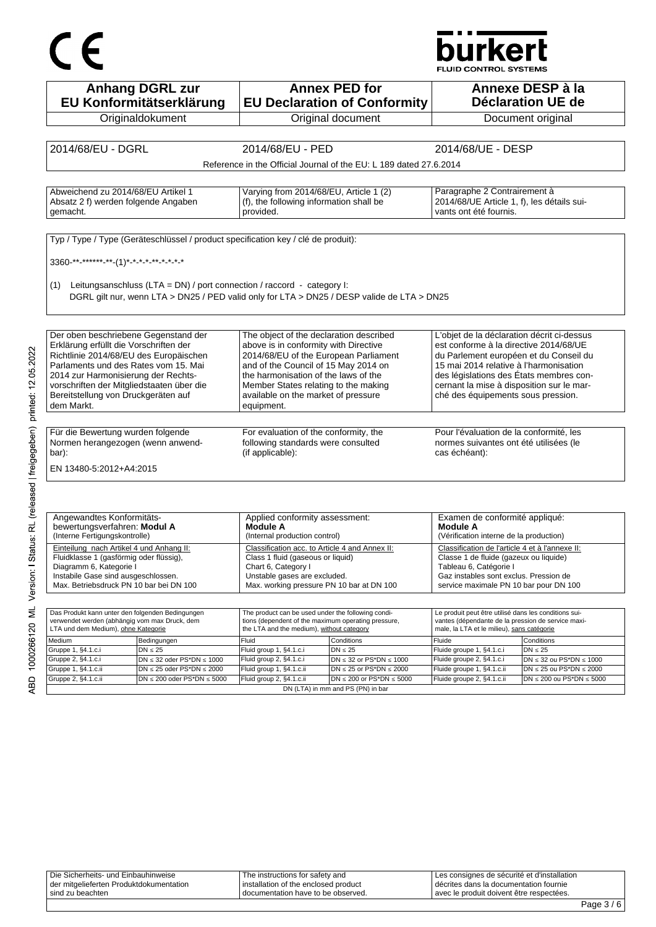# CE

### **burkert**

FLUID CONTROL SYSTEMS

| <b>Anhang DGRL zur</b><br>EU Konformitätserklärung                      |                                                                                                           | <b>Annex PED for</b><br><b>EU Declaration of Conformity</b>           |                                                                                                                                                                                                                                                                                                                                                                                                                                                                                                                                                                                                                                                                      | Annexe DESP à la<br>Déclaration UE de                                                                                                                                                                                                                                                                                                                                                                                                                                                                                                                                                                                                                              |
|-------------------------------------------------------------------------|-----------------------------------------------------------------------------------------------------------|-----------------------------------------------------------------------|----------------------------------------------------------------------------------------------------------------------------------------------------------------------------------------------------------------------------------------------------------------------------------------------------------------------------------------------------------------------------------------------------------------------------------------------------------------------------------------------------------------------------------------------------------------------------------------------------------------------------------------------------------------------|--------------------------------------------------------------------------------------------------------------------------------------------------------------------------------------------------------------------------------------------------------------------------------------------------------------------------------------------------------------------------------------------------------------------------------------------------------------------------------------------------------------------------------------------------------------------------------------------------------------------------------------------------------------------|
|                                                                         |                                                                                                           |                                                                       |                                                                                                                                                                                                                                                                                                                                                                                                                                                                                                                                                                                                                                                                      | Document original                                                                                                                                                                                                                                                                                                                                                                                                                                                                                                                                                                                                                                                  |
|                                                                         |                                                                                                           |                                                                       |                                                                                                                                                                                                                                                                                                                                                                                                                                                                                                                                                                                                                                                                      |                                                                                                                                                                                                                                                                                                                                                                                                                                                                                                                                                                                                                                                                    |
|                                                                         |                                                                                                           |                                                                       |                                                                                                                                                                                                                                                                                                                                                                                                                                                                                                                                                                                                                                                                      |                                                                                                                                                                                                                                                                                                                                                                                                                                                                                                                                                                                                                                                                    |
|                                                                         |                                                                                                           |                                                                       |                                                                                                                                                                                                                                                                                                                                                                                                                                                                                                                                                                                                                                                                      |                                                                                                                                                                                                                                                                                                                                                                                                                                                                                                                                                                                                                                                                    |
|                                                                         |                                                                                                           |                                                                       |                                                                                                                                                                                                                                                                                                                                                                                                                                                                                                                                                                                                                                                                      |                                                                                                                                                                                                                                                                                                                                                                                                                                                                                                                                                                                                                                                                    |
|                                                                         |                                                                                                           |                                                                       |                                                                                                                                                                                                                                                                                                                                                                                                                                                                                                                                                                                                                                                                      |                                                                                                                                                                                                                                                                                                                                                                                                                                                                                                                                                                                                                                                                    |
| Absatz 2 f) werden folgende Angaben                                     |                                                                                                           |                                                                       |                                                                                                                                                                                                                                                                                                                                                                                                                                                                                                                                                                                                                                                                      |                                                                                                                                                                                                                                                                                                                                                                                                                                                                                                                                                                                                                                                                    |
|                                                                         |                                                                                                           |                                                                       | vants ont été fournis.                                                                                                                                                                                                                                                                                                                                                                                                                                                                                                                                                                                                                                               |                                                                                                                                                                                                                                                                                                                                                                                                                                                                                                                                                                                                                                                                    |
|                                                                         |                                                                                                           |                                                                       |                                                                                                                                                                                                                                                                                                                                                                                                                                                                                                                                                                                                                                                                      |                                                                                                                                                                                                                                                                                                                                                                                                                                                                                                                                                                                                                                                                    |
|                                                                         |                                                                                                           |                                                                       |                                                                                                                                                                                                                                                                                                                                                                                                                                                                                                                                                                                                                                                                      |                                                                                                                                                                                                                                                                                                                                                                                                                                                                                                                                                                                                                                                                    |
|                                                                         |                                                                                                           |                                                                       |                                                                                                                                                                                                                                                                                                                                                                                                                                                                                                                                                                                                                                                                      |                                                                                                                                                                                                                                                                                                                                                                                                                                                                                                                                                                                                                                                                    |
|                                                                         |                                                                                                           |                                                                       |                                                                                                                                                                                                                                                                                                                                                                                                                                                                                                                                                                                                                                                                      |                                                                                                                                                                                                                                                                                                                                                                                                                                                                                                                                                                                                                                                                    |
|                                                                         |                                                                                                           |                                                                       |                                                                                                                                                                                                                                                                                                                                                                                                                                                                                                                                                                                                                                                                      |                                                                                                                                                                                                                                                                                                                                                                                                                                                                                                                                                                                                                                                                    |
|                                                                         |                                                                                                           |                                                                       |                                                                                                                                                                                                                                                                                                                                                                                                                                                                                                                                                                                                                                                                      |                                                                                                                                                                                                                                                                                                                                                                                                                                                                                                                                                                                                                                                                    |
|                                                                         |                                                                                                           |                                                                       |                                                                                                                                                                                                                                                                                                                                                                                                                                                                                                                                                                                                                                                                      |                                                                                                                                                                                                                                                                                                                                                                                                                                                                                                                                                                                                                                                                    |
|                                                                         |                                                                                                           |                                                                       |                                                                                                                                                                                                                                                                                                                                                                                                                                                                                                                                                                                                                                                                      |                                                                                                                                                                                                                                                                                                                                                                                                                                                                                                                                                                                                                                                                    |
| Der oben beschriebene Gegenstand der                                    |                                                                                                           |                                                                       |                                                                                                                                                                                                                                                                                                                                                                                                                                                                                                                                                                                                                                                                      |                                                                                                                                                                                                                                                                                                                                                                                                                                                                                                                                                                                                                                                                    |
|                                                                         |                                                                                                           |                                                                       |                                                                                                                                                                                                                                                                                                                                                                                                                                                                                                                                                                                                                                                                      |                                                                                                                                                                                                                                                                                                                                                                                                                                                                                                                                                                                                                                                                    |
| Parlaments und des Rates vom 15. Mai                                    |                                                                                                           |                                                                       |                                                                                                                                                                                                                                                                                                                                                                                                                                                                                                                                                                                                                                                                      |                                                                                                                                                                                                                                                                                                                                                                                                                                                                                                                                                                                                                                                                    |
| 2014 zur Harmonisierung der Rechts-                                     |                                                                                                           |                                                                       |                                                                                                                                                                                                                                                                                                                                                                                                                                                                                                                                                                                                                                                                      |                                                                                                                                                                                                                                                                                                                                                                                                                                                                                                                                                                                                                                                                    |
| vorschriften der Mitgliedstaaten über die                               |                                                                                                           |                                                                       |                                                                                                                                                                                                                                                                                                                                                                                                                                                                                                                                                                                                                                                                      |                                                                                                                                                                                                                                                                                                                                                                                                                                                                                                                                                                                                                                                                    |
|                                                                         |                                                                                                           |                                                                       |                                                                                                                                                                                                                                                                                                                                                                                                                                                                                                                                                                                                                                                                      |                                                                                                                                                                                                                                                                                                                                                                                                                                                                                                                                                                                                                                                                    |
|                                                                         |                                                                                                           |                                                                       |                                                                                                                                                                                                                                                                                                                                                                                                                                                                                                                                                                                                                                                                      |                                                                                                                                                                                                                                                                                                                                                                                                                                                                                                                                                                                                                                                                    |
|                                                                         |                                                                                                           |                                                                       |                                                                                                                                                                                                                                                                                                                                                                                                                                                                                                                                                                                                                                                                      |                                                                                                                                                                                                                                                                                                                                                                                                                                                                                                                                                                                                                                                                    |
| Normen herangezogen (wenn anwend-                                       |                                                                                                           |                                                                       |                                                                                                                                                                                                                                                                                                                                                                                                                                                                                                                                                                                                                                                                      |                                                                                                                                                                                                                                                                                                                                                                                                                                                                                                                                                                                                                                                                    |
|                                                                         |                                                                                                           |                                                                       | cas échéant):                                                                                                                                                                                                                                                                                                                                                                                                                                                                                                                                                                                                                                                        |                                                                                                                                                                                                                                                                                                                                                                                                                                                                                                                                                                                                                                                                    |
|                                                                         |                                                                                                           |                                                                       |                                                                                                                                                                                                                                                                                                                                                                                                                                                                                                                                                                                                                                                                      |                                                                                                                                                                                                                                                                                                                                                                                                                                                                                                                                                                                                                                                                    |
|                                                                         |                                                                                                           |                                                                       |                                                                                                                                                                                                                                                                                                                                                                                                                                                                                                                                                                                                                                                                      |                                                                                                                                                                                                                                                                                                                                                                                                                                                                                                                                                                                                                                                                    |
|                                                                         |                                                                                                           |                                                                       |                                                                                                                                                                                                                                                                                                                                                                                                                                                                                                                                                                                                                                                                      |                                                                                                                                                                                                                                                                                                                                                                                                                                                                                                                                                                                                                                                                    |
|                                                                         |                                                                                                           |                                                                       |                                                                                                                                                                                                                                                                                                                                                                                                                                                                                                                                                                                                                                                                      |                                                                                                                                                                                                                                                                                                                                                                                                                                                                                                                                                                                                                                                                    |
|                                                                         |                                                                                                           |                                                                       |                                                                                                                                                                                                                                                                                                                                                                                                                                                                                                                                                                                                                                                                      |                                                                                                                                                                                                                                                                                                                                                                                                                                                                                                                                                                                                                                                                    |
|                                                                         | Applied conformity assessment:<br>Module A                                                                |                                                                       | Examen de conformité appliqué:<br>Module A                                                                                                                                                                                                                                                                                                                                                                                                                                                                                                                                                                                                                           |                                                                                                                                                                                                                                                                                                                                                                                                                                                                                                                                                                                                                                                                    |
|                                                                         | (Internal production control)                                                                             |                                                                       | (Vérification interne de la production)                                                                                                                                                                                                                                                                                                                                                                                                                                                                                                                                                                                                                              |                                                                                                                                                                                                                                                                                                                                                                                                                                                                                                                                                                                                                                                                    |
|                                                                         | Classification acc. to Article 4 and Annex II:                                                            |                                                                       | Classification de l'article 4 et à l'annexe II:                                                                                                                                                                                                                                                                                                                                                                                                                                                                                                                                                                                                                      |                                                                                                                                                                                                                                                                                                                                                                                                                                                                                                                                                                                                                                                                    |
|                                                                         | Class 1 fluid (gaseous or liquid)                                                                         |                                                                       | Classe 1 de fluide (gazeux ou liquide)<br>Tableau 6, Catégorie I                                                                                                                                                                                                                                                                                                                                                                                                                                                                                                                                                                                                     |                                                                                                                                                                                                                                                                                                                                                                                                                                                                                                                                                                                                                                                                    |
|                                                                         | Chart 6, Category I<br>Unstable gases are excluded.                                                       |                                                                       | Gaz instables sont exclus. Pression de                                                                                                                                                                                                                                                                                                                                                                                                                                                                                                                                                                                                                               |                                                                                                                                                                                                                                                                                                                                                                                                                                                                                                                                                                                                                                                                    |
| Max. Betriebsdruck PN 10 bar bei DN 100                                 | Max. working pressure PN 10 bar at DN 100                                                                 |                                                                       | service maximale PN 10 bar pour DN 100                                                                                                                                                                                                                                                                                                                                                                                                                                                                                                                                                                                                                               |                                                                                                                                                                                                                                                                                                                                                                                                                                                                                                                                                                                                                                                                    |
|                                                                         |                                                                                                           |                                                                       |                                                                                                                                                                                                                                                                                                                                                                                                                                                                                                                                                                                                                                                                      |                                                                                                                                                                                                                                                                                                                                                                                                                                                                                                                                                                                                                                                                    |
| Das Produkt kann unter den folgenden Bedingungen                        | The product can be used under the following condi-<br>tions (dependent of the maximum operating pressure, |                                                                       | Le produit peut être utilisé dans les conditions sui-                                                                                                                                                                                                                                                                                                                                                                                                                                                                                                                                                                                                                |                                                                                                                                                                                                                                                                                                                                                                                                                                                                                                                                                                                                                                                                    |
| verwendet werden (abhängig vom max Druck, dem                           | the LTA and the medium), without category                                                                 |                                                                       | vantes (dépendante de la pression de service maxi-<br>male, la LTA et le milieu), sans catégorie                                                                                                                                                                                                                                                                                                                                                                                                                                                                                                                                                                     |                                                                                                                                                                                                                                                                                                                                                                                                                                                                                                                                                                                                                                                                    |
|                                                                         | Fluid                                                                                                     | Conditions                                                            | Fluide                                                                                                                                                                                                                                                                                                                                                                                                                                                                                                                                                                                                                                                               | Conditions                                                                                                                                                                                                                                                                                                                                                                                                                                                                                                                                                                                                                                                         |
| $DN \leq 32$ oder PS*DN $\leq 1000$                                     | Fluid group 1, §4.1.c.i<br>Fluid group 2, §4.1.c.i                                                        | $DN \leq 25$<br>DN $\leq$ 32 or PS*DN $\leq$ 1000                     | Fluide groupe 1, §4.1.c.i<br>Fluide groupe 2, §4.1.c.i                                                                                                                                                                                                                                                                                                                                                                                                                                                                                                                                                                                                               | $DN \leq 25$<br>$DN \leq 32$ ou PS*DN $\leq 1000$                                                                                                                                                                                                                                                                                                                                                                                                                                                                                                                                                                                                                  |
| $DN \le 25$ oder PS*DN $\le 2000$<br>$DN \le 200$ oder PS*DN $\le 5000$ | Fluid group 1, §4.1.c.ii<br>Fluid group 2, §4.1.c.ii                                                      | DN $\leq$ 25 or PS*DN $\leq$ 2000<br>$DN \le 200$ or PS*DN $\le 5000$ | Fluide groupe 1, §4.1.c.ii<br>Fluide groupe 2, §4.1.c.ii                                                                                                                                                                                                                                                                                                                                                                                                                                                                                                                                                                                                             | $DN \le 25$ ou PS*DN $\le 2000$<br>$DN \le 200$ ou PS*DN $\le 5000$                                                                                                                                                                                                                                                                                                                                                                                                                                                                                                                                                                                                |
|                                                                         | Richtlinie 2014/68/EU des Europäischen                                                                    | provided.<br>equipment.<br>(if applicable):                           | Original document<br>2014/68/EU - PED<br>Varying from 2014/68/EU, Article 1 (2)<br>(f), the following information shall be<br>Typ / Type / Type (Geräteschlüssel / product specification key / clé de produit):<br>Leitungsanschluss (LTA = DN) / port connection / raccord - category I:<br>The object of the declaration described<br>above is in conformity with Directive<br>2014/68/EU of the European Parliament<br>and of the Council of 15 May 2014 on<br>the harmonisation of the laws of the<br>Member States relating to the making<br>available on the market of pressure<br>For evaluation of the conformity, the<br>following standards were consulted | 2014/68/UE - DESP<br>Reference in the Official Journal of the EU: L 189 dated 27.6.2014<br>Paragraphe 2 Contrairement à<br>2014/68/UE Article 1, f), les détails sui-<br>DGRL gilt nur, wenn LTA > DN25 / PED valid only for LTA > DN25 / DESP valide de LTA > DN25<br>L'objet de la déclaration décrit ci-dessus<br>est conforme à la directive 2014/68/UE<br>du Parlement européen et du Conseil du<br>15 mai 2014 relative à l'harmonisation<br>des législations des États membres con-<br>cernant la mise à disposition sur le mar-<br>ché des équipements sous pression.<br>Pour l'évaluation de la conformité, les<br>normes suivantes ont été utilisées (le |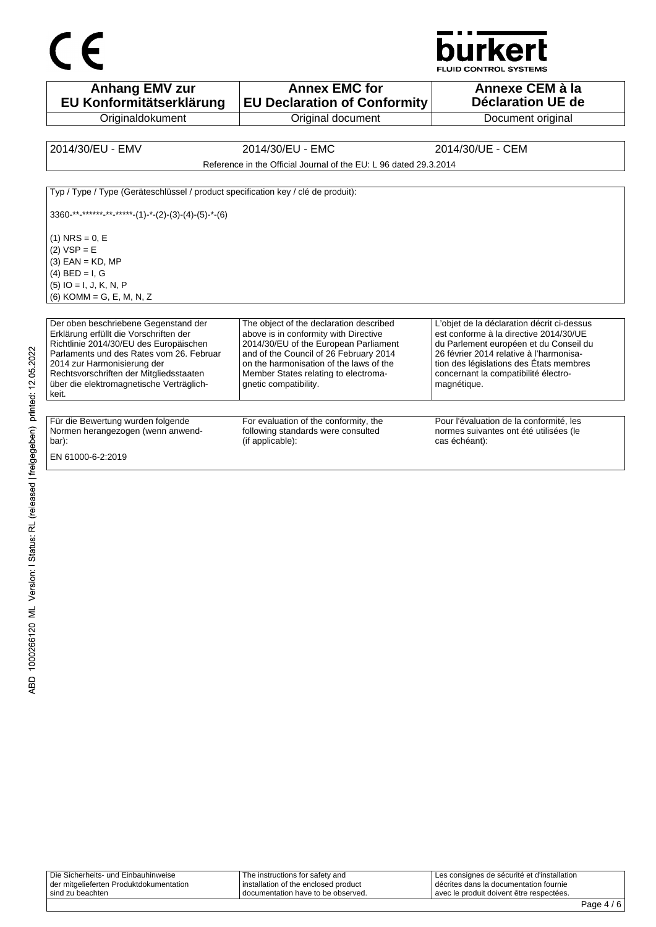## $C \in$



FLUID CONTROL SYSTEMS

| <b>Anhang EMV zur</b><br>EU Konformitätserklärung                                                                                                                                                                                                                                                   | <b>Annex EMC for</b><br><b>EU Declaration of Conformity</b>                                                                                                                                                                                                                     | Annexe CEM à la<br>Déclaration UE de                                                                                                                                                                                                                                        |
|-----------------------------------------------------------------------------------------------------------------------------------------------------------------------------------------------------------------------------------------------------------------------------------------------------|---------------------------------------------------------------------------------------------------------------------------------------------------------------------------------------------------------------------------------------------------------------------------------|-----------------------------------------------------------------------------------------------------------------------------------------------------------------------------------------------------------------------------------------------------------------------------|
| Originaldokument                                                                                                                                                                                                                                                                                    | Original document                                                                                                                                                                                                                                                               | Document original                                                                                                                                                                                                                                                           |
|                                                                                                                                                                                                                                                                                                     |                                                                                                                                                                                                                                                                                 |                                                                                                                                                                                                                                                                             |
| 2014/30/EU - EMV                                                                                                                                                                                                                                                                                    | 2014/30/EU - EMC                                                                                                                                                                                                                                                                | 2014/30/UE - CEM                                                                                                                                                                                                                                                            |
|                                                                                                                                                                                                                                                                                                     | Reference in the Official Journal of the EU: L 96 dated 29.3.2014                                                                                                                                                                                                               |                                                                                                                                                                                                                                                                             |
| Typ / Type / Type (Geräteschlüssel / product specification key / clé de produit):                                                                                                                                                                                                                   |                                                                                                                                                                                                                                                                                 |                                                                                                                                                                                                                                                                             |
| $3360$ -**-*****-**-*****-(1)-*-(2)-(3)-(4)-(5)-*-(6)                                                                                                                                                                                                                                               |                                                                                                                                                                                                                                                                                 |                                                                                                                                                                                                                                                                             |
| $(1)$ NRS = 0, E<br>$(2) VSP = E$<br>$(3)$ EAN = KD, MP<br>$(4)$ BED = I, G<br>$(5)$ IO = I, J, K, N, P<br>$(6)$ KOMM = G, E, M, N, Z                                                                                                                                                               |                                                                                                                                                                                                                                                                                 |                                                                                                                                                                                                                                                                             |
| Der oben beschriebene Gegenstand der<br>Erklärung erfüllt die Vorschriften der<br>Richtlinie 2014/30/EU des Europäischen<br>Parlaments und des Rates vom 26. Februar<br>2014 zur Harmonisierung der<br>Rechtsvorschriften der Mitgliedsstaaten<br>über die elektromagnetische Verträglich-<br>keit. | The object of the declaration described<br>above is in conformity with Directive<br>2014/30/EU of the European Parliament<br>and of the Council of 26 February 2014<br>on the harmonisation of the laws of the<br>Member States relating to electroma-<br>qnetic compatibility. | L'objet de la déclaration décrit ci-dessus<br>est conforme à la directive 2014/30/UE<br>du Parlement européen et du Conseil du<br>26 février 2014 relative à l'harmonisa-<br>tion des législations des États membres<br>concernant la compatibilité électro-<br>magnétique. |
| Für die Bewertung wurden folgende<br>Normen herangezogen (wenn anwend-<br>bar):<br>EN 61000-6-2:2019                                                                                                                                                                                                | For evaluation of the conformity, the<br>following standards were consulted<br>(if applicable):                                                                                                                                                                                 | Pour l'évaluation de la conformité, les<br>normes suivantes ont été utilisées (le<br>cas échéant):                                                                                                                                                                          |

| Die Sicherheits- und Einbauhinweise     | The instructions for safety and      | I Les consignes de sécurité et d'installation |
|-----------------------------------------|--------------------------------------|-----------------------------------------------|
| der mitgelieferten Produktdokumentation | installation of the enclosed product | I décrites dans la documentation fournie      |
| sind zu beachten                        | I documentation have to be observed. | I avec le produit doivent être respectées.    |
|                                         |                                      |                                               |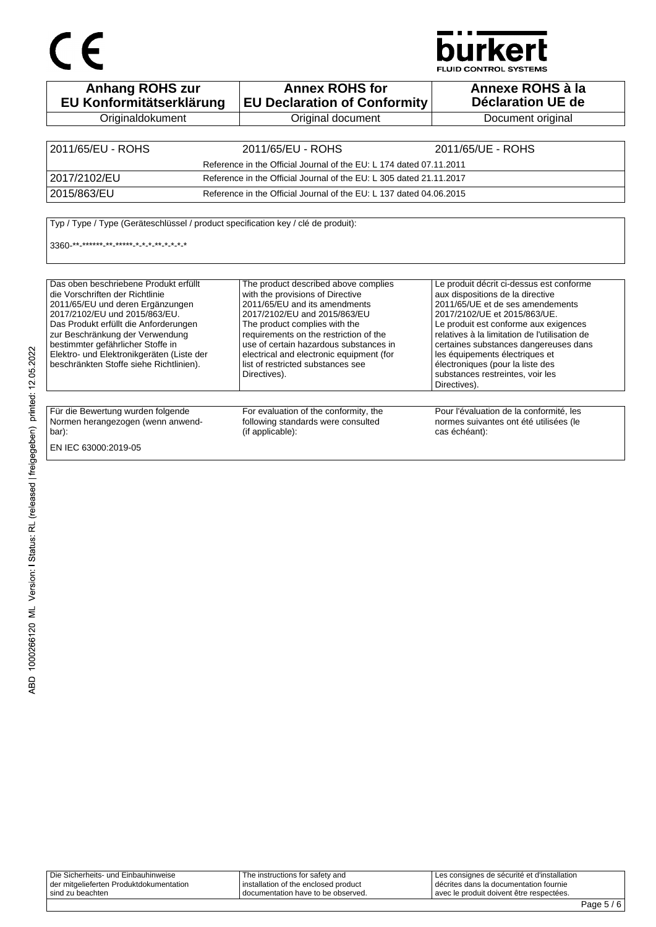# CE

### **burkert**

**FLUID CONTROL SYSTEMS** 

| <b>Anhang ROHS zur</b><br>EU Konformitätserklärung                                                                                                                                                                                                                                                                                                     | <b>Annex ROHS for</b><br><b>EU Declaration of Conformity</b>                                                                                                                                                                                                                                                                                                    | Annexe ROHS à la<br>Déclaration UE de                                                                                                                                                                                                                                                                                                                                                                         |
|--------------------------------------------------------------------------------------------------------------------------------------------------------------------------------------------------------------------------------------------------------------------------------------------------------------------------------------------------------|-----------------------------------------------------------------------------------------------------------------------------------------------------------------------------------------------------------------------------------------------------------------------------------------------------------------------------------------------------------------|---------------------------------------------------------------------------------------------------------------------------------------------------------------------------------------------------------------------------------------------------------------------------------------------------------------------------------------------------------------------------------------------------------------|
| Originaldokument                                                                                                                                                                                                                                                                                                                                       | Original document                                                                                                                                                                                                                                                                                                                                               | Document original                                                                                                                                                                                                                                                                                                                                                                                             |
|                                                                                                                                                                                                                                                                                                                                                        |                                                                                                                                                                                                                                                                                                                                                                 |                                                                                                                                                                                                                                                                                                                                                                                                               |
| 2011/65/EU - ROHS                                                                                                                                                                                                                                                                                                                                      | 2011/65/EU - ROHS                                                                                                                                                                                                                                                                                                                                               | 2011/65/UE - ROHS                                                                                                                                                                                                                                                                                                                                                                                             |
|                                                                                                                                                                                                                                                                                                                                                        | Reference in the Official Journal of the EU: L 174 dated 07.11.2011                                                                                                                                                                                                                                                                                             |                                                                                                                                                                                                                                                                                                                                                                                                               |
| 2017/2102/EU                                                                                                                                                                                                                                                                                                                                           | Reference in the Official Journal of the EU: L 305 dated 21.11.2017                                                                                                                                                                                                                                                                                             |                                                                                                                                                                                                                                                                                                                                                                                                               |
| 2015/863/EU                                                                                                                                                                                                                                                                                                                                            | Reference in the Official Journal of the EU: L 137 dated 04.06.2015                                                                                                                                                                                                                                                                                             |                                                                                                                                                                                                                                                                                                                                                                                                               |
| 3360 ** ****** ** ***** * * * * * * * * *                                                                                                                                                                                                                                                                                                              |                                                                                                                                                                                                                                                                                                                                                                 |                                                                                                                                                                                                                                                                                                                                                                                                               |
| Das oben beschriebene Produkt erfüllt<br>die Vorschriften der Richtlinie<br>2011/65/EU und deren Ergänzungen<br>2017/2102/EU und 2015/863/EU.<br>Das Produkt erfüllt die Anforderungen<br>zur Beschränkung der Verwendung<br>bestimmter gefährlicher Stoffe in<br>Elektro- und Elektronikgeräten (Liste der<br>beschränkten Stoffe siehe Richtlinien). | The product described above complies<br>with the provisions of Directive<br>2011/65/EU and its amendments<br>2017/2102/EU and 2015/863/EU<br>The product complies with the<br>requirements on the restriction of the<br>use of certain hazardous substances in<br>electrical and electronic equipment (for<br>list of restricted substances see<br>Directives). | Le produit décrit ci-dessus est conforme<br>aux dispositions de la directive<br>2011/65/UE et de ses amendements<br>2017/2102/UE et 2015/863/UE.<br>Le produit est conforme aux exigences<br>relatives à la limitation de l'utilisation de<br>certaines substances dangereuses dans<br>les équipements électriques et<br>électroniques (pour la liste des<br>substances restreintes, voir les<br>Directives). |
| Für die Bewertung wurden folgende<br>Normen herangezogen (wenn anwend-<br>bar):<br>EN IEC 63000:2019-05                                                                                                                                                                                                                                                | For evaluation of the conformity, the<br>following standards were consulted<br>(if applicable):                                                                                                                                                                                                                                                                 | Pour l'évaluation de la conformité, les<br>normes suivantes ont été utilisées (le<br>cas échéant):                                                                                                                                                                                                                                                                                                            |

Die Sicherheits- und Einbauhinweise der mitgelieferten Produktdokumentation sind zu beachten The instructions for safety and installation of the enclosed product documentation have to be observed. Les consignes de sécurité et d'installation décrites dans la documentation fournie avec le produit doivent être respectées.